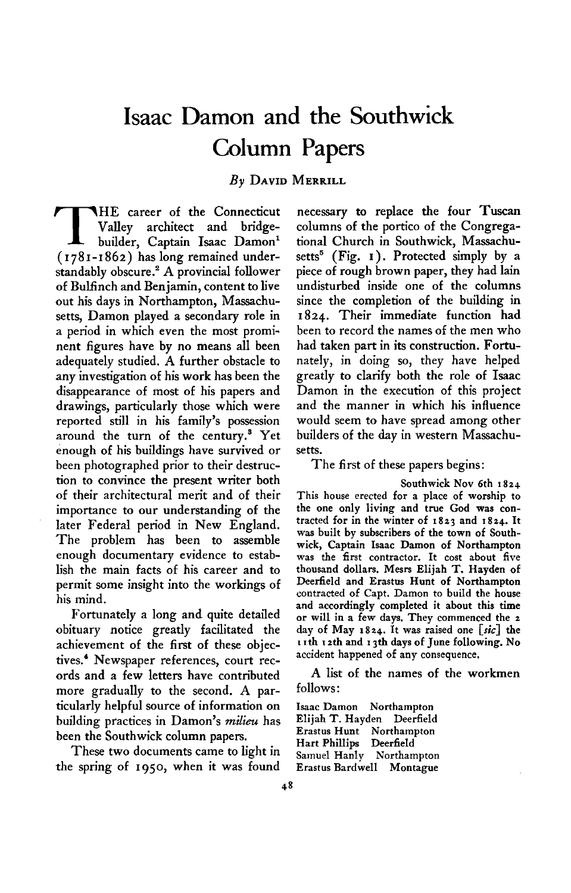# **Isaac Damon and the Southwick Column Papers**

**By DAVID MERRILL** 

**THE** career of the Connecticut Valley architect and bridge-builder, Captain Isaac Damon<sup>1</sup> **Valley architect and bridge-(1781-1862) has long remained understandably obscure.\* A provincial follower of Bulfinch and Benjamin, content to live out his days in Northampton, Massachusetts, Damon played a secondary role in a period in which even the most prominent figures have by no means all been adequately studied. A further obstacle to any investigation of his work has been the disappearance of most of his papers and drawings, particularly those which were reported still in his family's possession around the turn of the century.' Yet enough of his buildings have survived or been photographed prior to their destruction to convince the present writer both of their architectural merit and of their importance to our understanding of the later Federal period in New England.**  The problem has been to assemble **enough documentary evidence to establish the main facts of his career and to permit some insight into the workings of his mind.** 

**Fortunately a long and quite detailed obituary notice greatly facilitated the achievement of the first of these objectives.' Newspaper references, court records and a few letters have contributed more gradually to the second. A particularly helpful source of information on building practices in Damon's milieu has been the Southwick column papers.** 

**These two documents came to light in the spring of 1950, when it was found**  **necessary to replace the four Tuscan columns of the portico of the Congregational Church in Southwick, Massachusetts' (Fig. I ). Protected simply by a piece of rough brown paper, they had lain undisturbed inside one of the columns since the completion of the building in 1824. Their immediate function had been to record the names of the men who had taken part in its construction. Fortunately, in doing so, they have helped greatly to clarify both the role of Isaac Damon in the execution of this project and the manner in which his influence would seem to have spread among other builders of the day in western Massachusetts.** 

**The first of these papers begins:** 

**Southwick Nov 6th I 824 This house erected for a place of worship to the one only living and true Cod was contracted for in the winter of 1823 and 1824. It was built by subscribers of the town of Southwick, Captain Isaac Damon of Northampton was the first contractor. It cost about five thousand dollars. Mesrs Elijah T. Hayden of Deerfield and Erastus Hunt of Northampton contracted of Capt. Damon to build the house and accordingly completed it about this time or will in a few days. They commenced the 2 day of May 1824. It was raised one [sic] the I I th I 2th and I 3th days of June following. No accident happened of any consequence.** 

**A list of the names of the workmen follows:** 

**Isaac Damon Northampton Elijah T. Hayden Deerfield Erastus Hunt Northampton Hart Phillips Deerfield Samuel Hanly Northampton Erastus Bardwell Montague**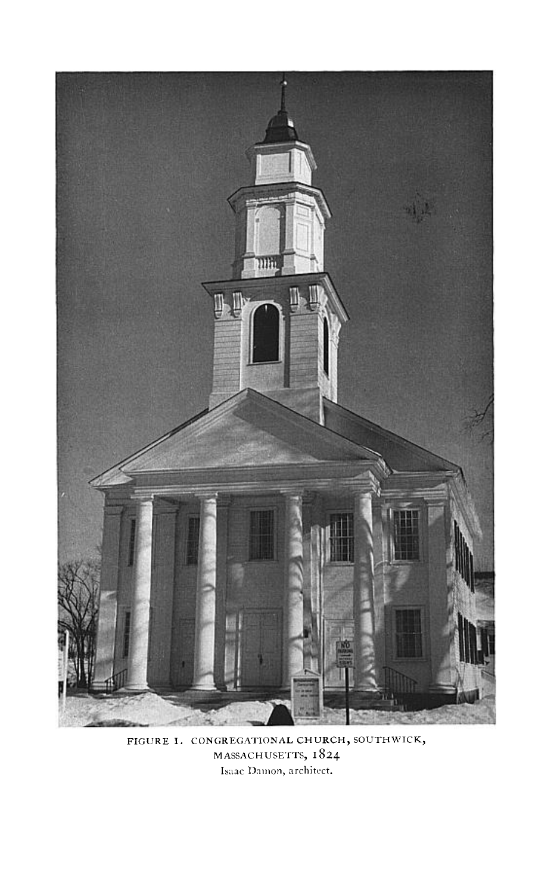

FIGURE 1. CONGREGATIONAL CHURCH, SOUTHWICK,<br>MASSACHUSETTS, 1824 Isaac Damon, architect.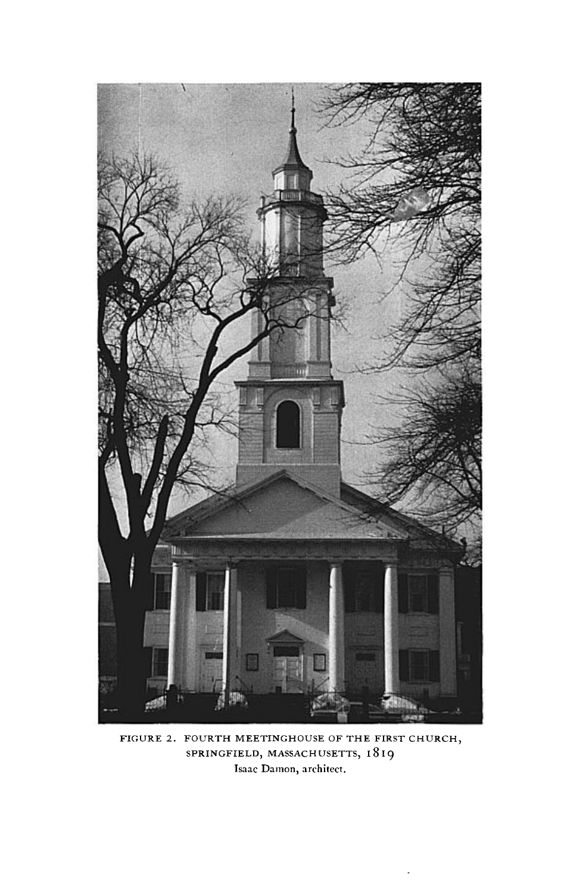

**FIGURE 2. FOURTH MEETINGHOUSE OF THE FIRST CHURCH, SPRINGFIELD, MASSACHUSETTS, I8 I9 Isaac Damon, architect.**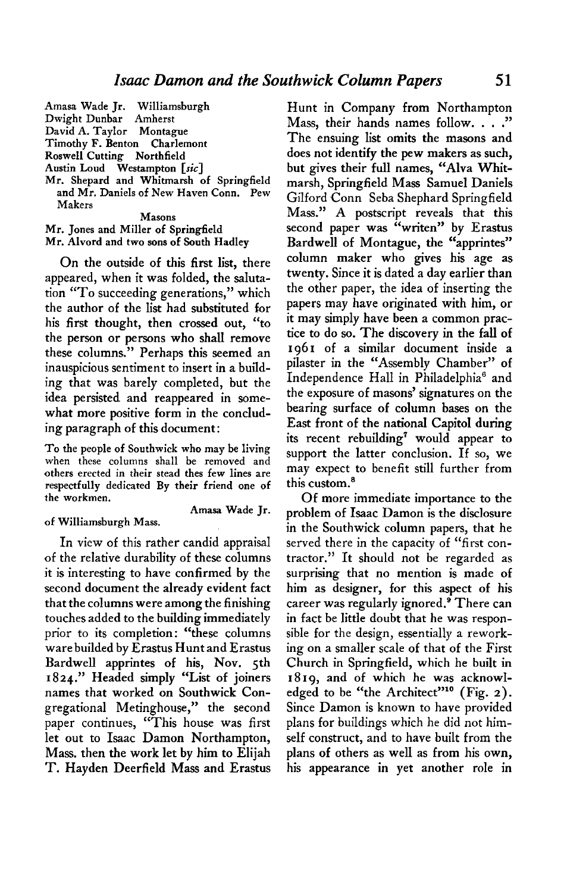**Mr. Jones and Miller of Springfield Mr. Alvord and two sons of South Hadley** 

**On the outside of this first list, there appeared, when it was folded, the salutation "To succeeding generations," which the author of the list had substituted for his first thought, then crossed out, "to the person or persons who shall remove these columns." Perhaps this seemed an inauspicious sentiment to insert in a building that was barely completed, but the idea persisted and reappeared in somewhat more positive form in the concluding paragraph of this document:** 

**To the people of Southwick who may be living when these columns shall be removed and others erected in their stead thes few lines are respectfully dedicated By their friend one of the workmen.** 

## **of Williamsburgh Mass.**

**Amasa Wade Jr.** 

**In view of this rather candid appraisal of the relative durability of these columns it is interesting to have confirmed by the second document the already evident fact that the columns were among the finishing touches added to the building immediately prior to its completion: "these columns ware builded by Erastus Hunt and Erastus Bardwell apprintes of his, Nov. 5th 1824." Headed simply "List of joiners names that worked on Southwick Congregational Metinghouse," the second paper continues, "This house was first let out to Isaac Damon Northampton, Mass. then the work let by him to Elijah T. Hayden Deerfield Mass and Erastus** 

**Hunt in Company from Northampton Mass, their hands names follow. . . ." The ensuing list omits the masons and does not identify the pew makers as such, but gives their full names, "Alva Whitmarsh, Springfield Mass Samuel Daniels Gilford Conn Seba Shephard Springfield Mass." A postscript reveals that this second paper was "writen" by Erastus Bardwell of Montague, the "apprintes" column maker who gives his age as twenty. Since it is dated a day earlier than the other paper, the idea of inserting the papers may have originated with him, or it may simply have been a common practice to do so. The discovery in the fall of 1961 of a similar document inside a pilaster in the "Assembly Chamber" of Independence Hall in Philadelphia' and the exposure of masons' signatures on the bearing surface of column bases on the East front of the national Capitol during its recent rebuilding7 would appear to support the latter conclusion. If so, we may expect to benefit still further from this custom.'** 

**Of more immediate importance to the problem of Isaac Damon is the disclosure in the Southwick column papers, that he served there in the capacity of "first contractor." It should not be regarded as surprising that no mention is made of him as designer, for this aspect of his**  career was regularly ignored.<sup>9</sup> There can **in fact be little doubt that he was responsible for the design, essentially a reworking on a smaller scale of that of the First Church in Springfield, which he built in I 8 19, and of which he was acknowl**edged to be "the Architect"<sup>10</sup> (Fig. 2). **Since Damon is known to have provided plans for buildings which he did not himself construct, and to have built from the plans of others as well as from his own, his appearance in yet another role in**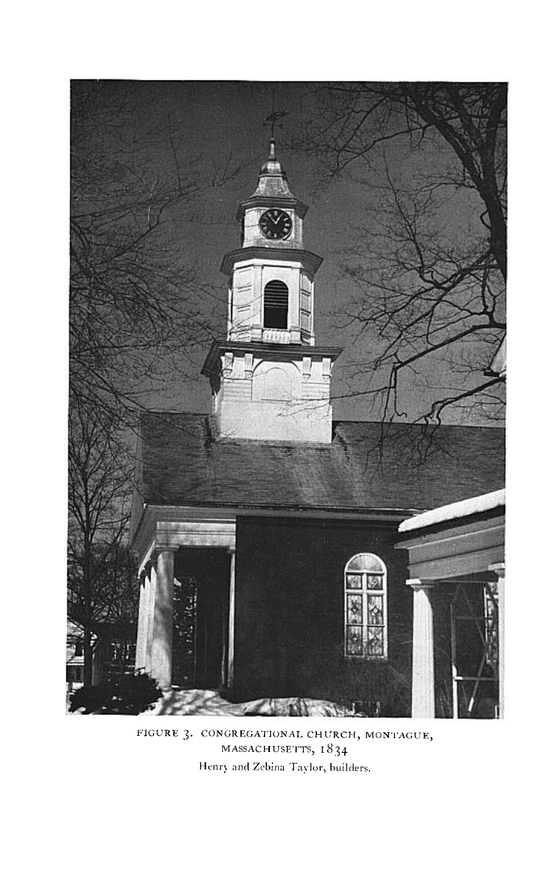

**FIGURE 3. CONGREGATIONAL CHURCH, MONTAGUE, MASSACHUSETTS, I8 34**  Henry and Zebina Taylor, builders.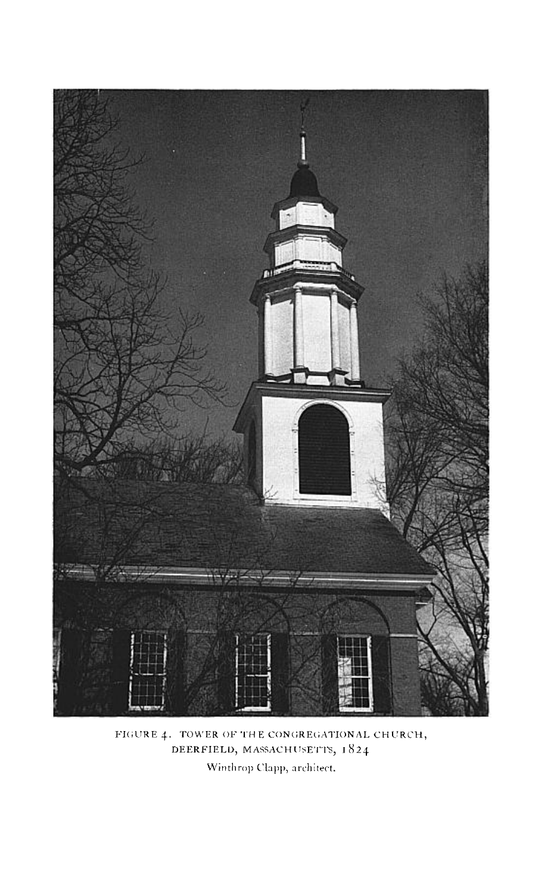

FIGURE 4. TOWER OF THE CONGREGATIONAL CHURCH, DEERFIELD, MASSACHUSETTS, 1824 Winthrop Clapp, architect.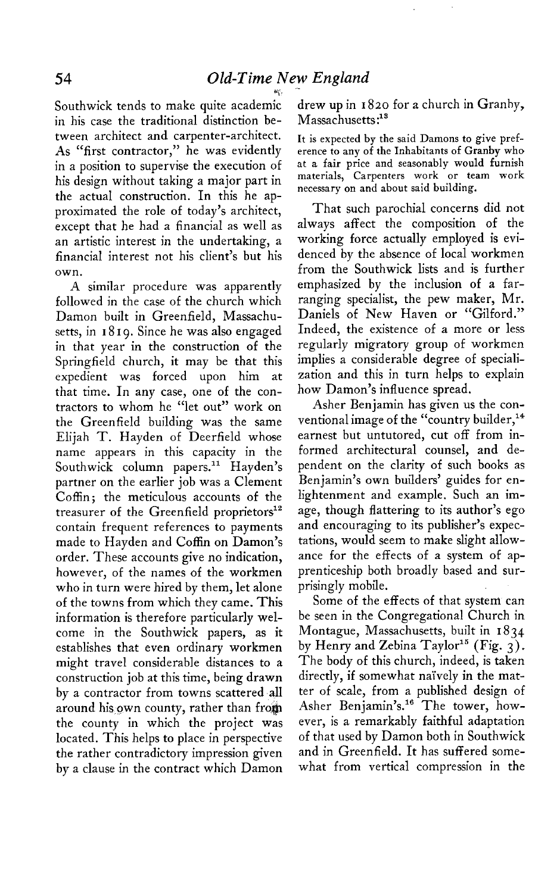**Southwick tends to make quite academi: in his case the traditional distinction between architect and carpenter-architect. As "first contractor," he was evidently in a position to supervise the execution of his design without taking a major part in the actual construction. In this he approximated the role of today's architect, except that he had a financial as well as an artistic interest in the undertaking, a financial interest not his client's but his own.** 

**A similar procedure was apparently followed in the case of the church which Damon built in Greenfield, Massachusetts, in I 8 I 9. Since he was also engaged in that year in the construction of the Springfield church, it may be that this expedient was forced upon him at that time. In any case, one of the contractors to whom he "let out" work on the Greenfield building was the same Elijah T. Hayden of Deerfield whose name appears in this capacity in the**  Southwick column papers.<sup>11</sup> Hayden's **partner on the earlier job was a Clement Coffin ; the meticulous accounts of the**  treasurer of the Greenfield proprietors<sup>12</sup> **contain frequent references to payments made to Hayden and Coffin on Damon's order. These accounts give no indication, however, of the names of the workmen who in turn were hired by them, let alone of the towns from which they came. This information is therefore particularly welcome in the Southwick papers, as it establishes that even ordinary workmen might travel considerable distances to a construction job at this time, being drawn by a contractor from towns scattered all**  around his own county, rather than from **the county in which the project was located. This helps to place in perspective the rather contradictory impression given by a clause in the contract which Damon** 

**drew up in I 820 for a church in Granby,**  Massachusetts:<sup>18</sup>

**It is expected by the said Damons to give preference to any of the Inhabitants of Granby who at a fair price and seasonably would furnish materials, Carpenters work or team work necessary on and about said building.** 

**That such parochial concerns did not always affect the composition of the working force actually employed is evidenced by the absence of local workmen from the Southwick lists and is further emphasized by the inclusion of a farranging specialist, the pew maker, Mr. Daniels of New Haven or "Gilford." Indeed, the existence of a more or less regularly migratory group of workmen implies a considerable degree of specialization and this in turn helps to explain how Damon's influence spread.** 

**Asher Benjamin has given us the conventional image of the "country builder,14 earnest but untutored, cut off from informed architectural counsel, and dependent on the clarity of such books as Benjamin's own builders' guides for enlightenment and example. Such an image, though flattering to its author's ego and encouraging to its publisher's expectations, would seem to make slight allowance for the effects of a system of apprenticeship both broadly based and surprisingly mobile.** 

**Some of the effects of that system can be seen in the Congregational Church in Montague, Massachusetts, built in I 834 by Henry and Zebina Taylor" (Fig. 3) \_ The body of this church, indeed, is taken directly, if somewhat nai'vely in the matter of scale, from a published design of**  Asher Benjamin's.<sup>16</sup> The tower, how**ever, is a remarkably faithful adaptation of that used by Damon both in Southwick and in Greenfield. It has suffered somewhat from vertical compression in the**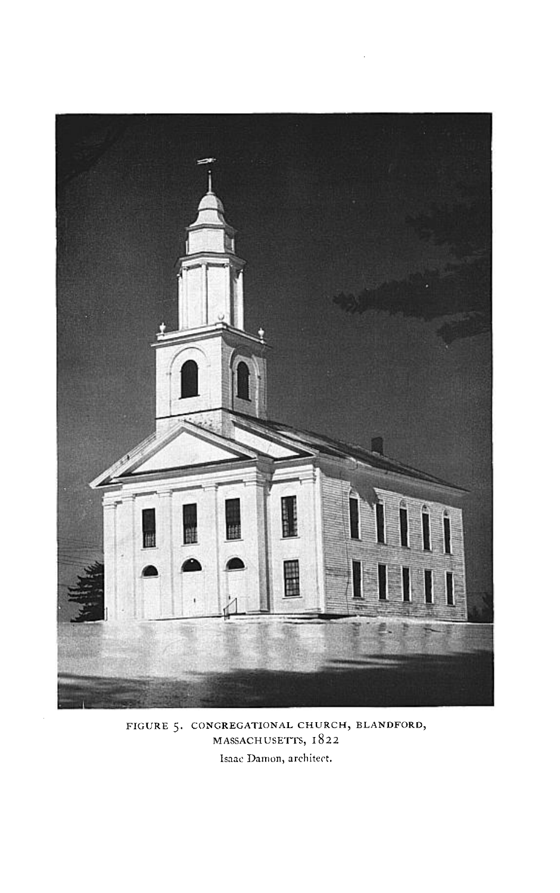

**FIGURE 5. CONGREGATIONAL CHWRCH, BLANDFORD, MASSACHUSETTS, 1822**  Isaac Damon, architect.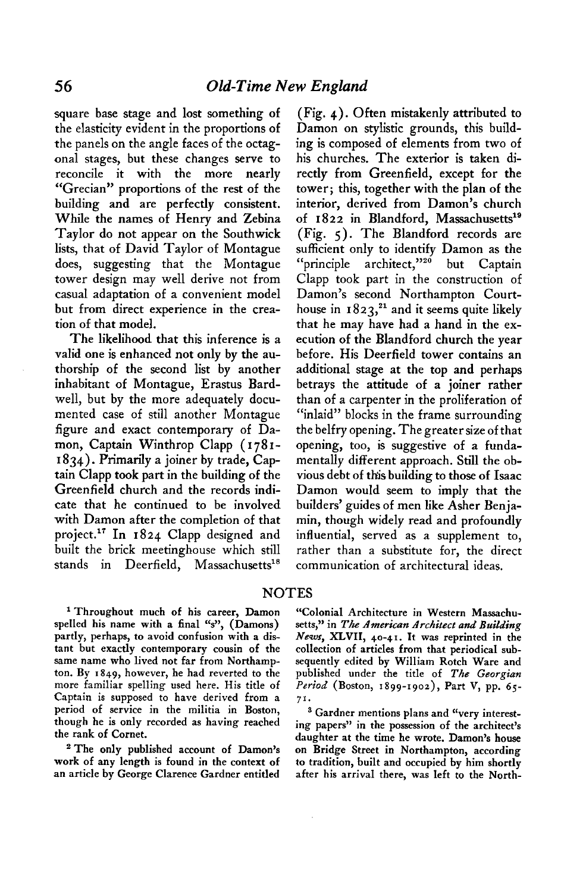**square base stage and lost something of the elasticity evident in the proportions of the panels on the angle faces of the octagonal stages, but these changes serve to reconcile it with the more nearly "Grecian" proportions of the rest of the building and are perfectly consistent. While the names of Henry and Zebina Taylor do not appear on the Southwick lists, that of David Taylor of Montague does, suggesting that the Montague tower design may well derive not from casual adaptation of a convenient model but from direct experience in the creation of that model.** 

**The likelihood that this inference is a valid one is enhanced not only by the authorship of the second list by another inhabitant of Montague, Erastus Bardwell, but by the more adequately documented case of still another Montague figure and exact contemporary of Damon, Captain Winthrop Clapp ( 1781- I 834). Primarily a joiner by trade, Captain Clapp took part in the building of the Greenfield church and the records indicate that he continued to be involved with Damon after the completion of that pr0ject.l' In 1824 Clapp designed and built the brick meetinghouse which still**  stands in Deerfield, Massachusetts<sup>18</sup>

**(Fig. 4). Often mistakenly attributed to Damon on stylistic grounds, this building is composed of elements from two of his churches. The exterior is taken directly from Greenfield, except for the tower; this, together with the plan of the interior, derived from Damon's church**  of 1822 in Blandford, Massachusetts<sup>19</sup> **(Fig. 5). The Blandford records are sufficient only to identify Damon as the**  "principle architect."<sup>20</sup> but Captain **Clapp took part in the construction of Damon's second Northampton Court**house in  $1823$ <sup>21</sup> and it seems quite likely **that he may have had a hand in the execution of the Blandford church the year before. His Deerfield tower contains an additional stage at the top and perhaps betrays the attitude of a joiner rather than of a carpenter in the proliferation of "inlaid" blocks in the frame surrounding the belfry opening. The greater size of that opening, too, is suggestive of a fundamentally different approach. Still the obvious debt of this building to those of Isaac Damon would seem to imply that the builders' guides of men like Asher Benjamin, though widely read and profoundly influential, served as a supplement to, rather than a substitute for, the direct communication of architectural ideas.** 

### **NOTES**

**' Throughout much of his career, Damon spelled his name with a final "s", (Damons) partly, perhaps, to avoid confusion with a distant but exactly contemporary cousin of the same name who lived not far from Northampton. By 1849, however, he had reverted to the more familiar spelling used here. His title of Captain is supposed to have derived from a period of service in the militia in Boston, though he is only recorded as having reached the rank of Cornet.** 

**'The only published account of Damon's work of any length is found in the context of an article by George Clarence Gardner entitled** 

**"Colonial Architecture in Western Massachu**setts," in The American Architect and Building **Newr, XLVII, 40-4 I. It was reprinted in the collection of articles from that periodical subsequently edited by William Retch Ware and published under the title of The Georgian Period (Boston, 1899-x902), Part V, pp. 65- 7'.** 

**s Gardner mentions plans and "very interesting papers" in the possession of the architect's daughter at the time he wrote. Damon's house on Bridge Street in Northampton, according to tradition, built and occupied by him shortly after his arrival there, was left to the North-**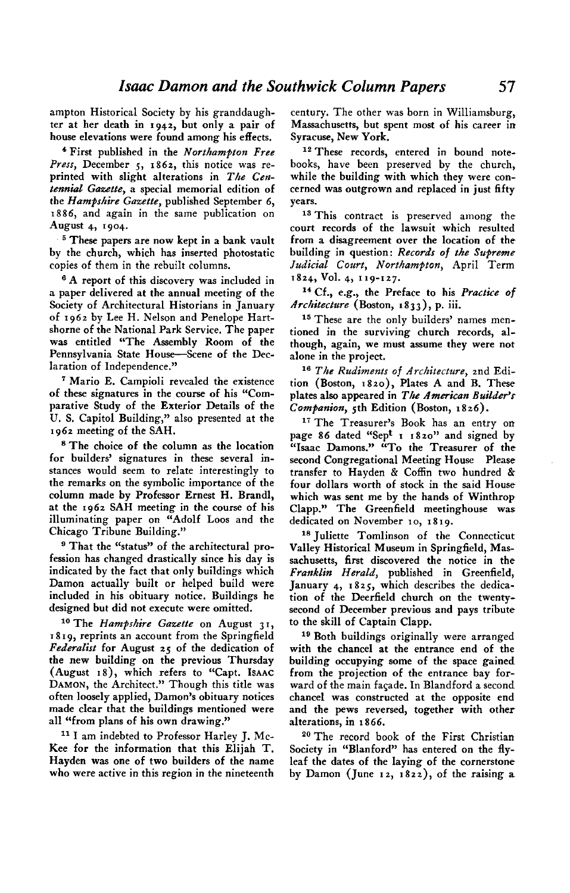**ampton Historical Society by his granddaugh- century. The other was born in Williamsburg, ter at her death in 1942, but only a pair of Massachusetts, but spent most of his career in house elevations were found among his effects. Syracuse, New York.** 

<sup>4</sup> First published in the Northampton Free Press, December 5, 1862, this notice was reprinted with slight alterations in The Cen**tennial Gazette, a special memorial edition of the Hampshire Gazette, published September 6, 1886, and again in the same publication on August 4, 1904.** 

**5 These papers are now kept in a bank vault by the church, which has inserted photostatic copies of them in the rebuilt columns.** 

**6 A report of this discovery was included in a paper delivered at the annual meeting of the Society of Architectural Historians in January of 1962 by Lee H. Nelson and Penelope Hartshorne of the National Park Service. The paper was entitled "The Assembly Room of the Pennsylvania State House-Scene of the Declaration of Independence."** 

**' Mario E. Campioli revealed the existence of these signatures in the course of his "Comparative Study of the Exterior Details of the U. S. Capitol Building," also presented at the ,962 meeting of the SAH.** 

**s The choice of the column as the location for builders' signatures in these several instances would seem to relate interestingly to the remarks on the symbolic importance of the**  column made by Professor Ernest H. Brandl, **at the 1962 SAH meeting in the course of his illuminating paper on "Adolf Loos and the Chicago Tribune Building."** 

**9 That the "status" of the architectural profession has changed drastically since his day is indicated by the fact that only buildings which Damon actually built or helped build were included in his obituary notice. Buildings he designed but did not execute were omitted.** 

<sup>10</sup> The Hampshire Gazette on August 31, **I 8 I 9, reprints an account from the Springfield Federalist for August 25 of the dedication of the new building on the previous Thursday (August IS), which refers to "Capt. ISAAC DAMON, the Architect." Though this title was often loosely applied, Damon's obituary notices made clear that the buildings mentioned were all "from plans of his own drawing."** 

**I1 I am indebted to Professor Harley J. Mc-Kee for the information that this Elijah T. Hayden was one of two builders of the name who were active in this region in the nineteenth** 

<sup>12</sup> These records, entered in bound note**books, have been preserved by the church, while the building with which they were concerned was outgrown and replaced in just fifty years.** 

<sup>13</sup> This contract is preserved among the **court records of the lawsuit which resulted from a disagreement over the location of the building in question: Records of the Supreme**  Judicial Court, Northampton, April Term **1824, Vol. 4, 119-127.** 

**l4 Cf., e.g., the Preface to his Practice of**  Architecture (Boston, 1833), p. iii.

**l5 These are the only builders' names mentioned in the surviving church records, although, again, we must assume they were not alone in the project.** 

<sup>16</sup> The Rudiments of Architecture, 2nd Edi**tion (Boston, 1820), Plates A and B. These**  plates also appeared in The American Builder's **Companion, 5th Edition (Boston, r 826).** 

**Ii The Treasurer's Book has an entry on page 86 dated "Sept I 1820" and signed by "Isaac Damons." "To the Treasurer of the second Congregational Meeting House Please transfer to Hayden & Coffin two hundred & four dollars worth of stock in the said House which was sent me by the hands of Winthrop Clapp." The Greenfield meetinghouse was dedicated on November 1 o, I 8 t 9.** 

**rs Juliette Tomlinson of the Connecticut Valley Historical Museum in Springfield, Massachusetts, first discovered the notice in the Franklin Herald, published in Greenfield, January 4, 1825, which describes the dedication of the Deerfield church on the twentysecond of December previous and pays tribute to the skill of Captain Clapp.** 

**l8 Both buildings originally were arranged with the chancel at the entrance end of the building occupying some of the space gained from the projection of the entrance bay forward of the main facade. In Blandford a second chancel was constructed at the opposite end and the pews reversed, together with other alterations, in r 866.** 

**\*O The record book of the First Christian Society in "Blanford" has entered on the flyleaf the dates of the laying of the cornerstone by Damon (June I 2, I 822), of the raising a**